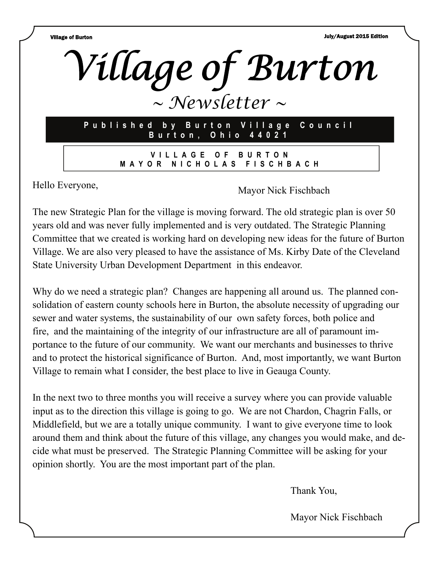Village of Burton July/August 2015 Edition



The new Strategic Plan for the village is moving forward. The old strategic plan is over 50 years old and was never fully implemented and is very outdated. The Strategic Planning Committee that we created is working hard on developing new ideas for the future of Burton Village. We are also very pleased to have the assistance of Ms. Kirby Date of the Cleveland State University Urban Development Department in this endeavor.

Why do we need a strategic plan? Changes are happening all around us. The planned consolidation of eastern county schools here in Burton, the absolute necessity of upgrading our sewer and water systems, the sustainability of our own safety forces, both police and fire, and the maintaining of the integrity of our infrastructure are all of paramount importance to the future of our community. We want our merchants and businesses to thrive and to protect the historical significance of Burton. And, most importantly, we want Burton Village to remain what I consider, the best place to live in Geauga County.

In the next two to three months you will receive a survey where you can provide valuable input as to the direction this village is going to go. We are not Chardon, Chagrin Falls, or Middlefield, but we are a totally unique community. I want to give everyone time to look around them and think about the future of this village, any changes you would make, and decide what must be preserved. The Strategic Planning Committee will be asking for your opinion shortly. You are the most important part of the plan.

Thank You,

Mayor Nick Fischbach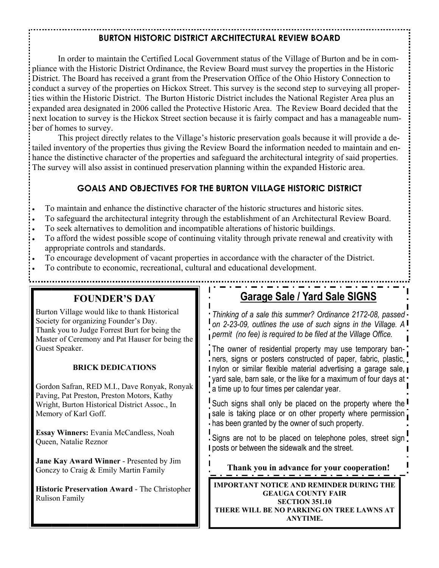## **BURTON HISTORIC DISTRICT ARCHITECTURAL REVIEW BOARD**

 In order to maintain the Certified Local Government status of the Village of Burton and be in compliance with the Historic District Ordinance, the Review Board must survey the properties in the Historic District. The Board has received a grant from the Preservation Office of the Ohio History Connection to conduct a survey of the properties on Hickox Street. This survey is the second step to surveying all properties within the Historic District. The Burton Historic District includes the National Register Area plus an expanded area designated in 2006 called the Protective Historic Area. The Review Board decided that the next location to survey is the Hickox Street section because it is fairly compact and has a manageable number of homes to survey.

 This project directly relates to the Village's historic preservation goals because it will provide a detailed inventory of the properties thus giving the Review Board the information needed to maintain and enhance the distinctive character of the properties and safeguard the architectural integrity of said properties. The survey will also assist in continued preservation planning within the expanded Historic area.

### **GOALS AND OBJECTIVES FOR THE BURTON VILLAGE HISTORIC DISTRICT**

- To maintain and enhance the distinctive character of the historic structures and historic sites.
- To safeguard the architectural integrity through the establishment of an Architectural Review Board.
- To seek alternatives to demolition and incompatible alterations of historic buildings.
- To afford the widest possible scope of continuing vitality through private renewal and creativity with appropriate controls and standards.
- To encourage development of vacant properties in accordance with the character of the District.
- To contribute to economic, recreational, cultural and educational development.

### **FOUNDER'S DAY**

Burton Village would like to thank Historical Society for organizing Founder's Day. Thank you to Judge Forrest Burt for being the Master of Ceremony and Pat Hauser for being the Guest Speaker.

#### **BRICK DEDICATIONS**

Gordon Safran, RED M.I., Dave Ronyak, Ronyak Paving, Pat Preston, Preston Motors, Kathy Wright, Burton Historical District Assoc., In Memory of Karl Goff.

**Essay Winners:** Evania McCandless, Noah Queen, Natalie Reznor

**Jane Kay Award Winner** - Presented by Jim Gonczy to Craig & Emily Martin Family

**Historic Preservation Award** - The Christopher Rulison Family

# **Garage Sale / Yard Sale SIGNS**

*Thinking of a sale this summer? Ordinance 2172-08, passed on 2-23-09, outlines the use of such signs in the Village. A permit (no fee) is required to be filed at the Village Office.* 

The owner of residential property may use temporary banners, signs or posters constructed of paper, fabric, plastic, I nylon or similar flexible material advertising a garage sale,  $\blacksquare$ yard sale, barn sale, or the like for a maximum of four days at  $\cdot$ a time up to four times per calendar year.

Such signs shall only be placed on the property where the sale is taking place or on other property where permission has been granted by the owner of such property.

Signs are not to be placed on telephone poles, street sign **I** posts or between the sidewalk and the street.

**Thank you in advance for your cooperation!** 

**IMPORTANT NOTICE AND REMINDER DURING THE GEAUGA COUNTY FAIR SECTION 351.10 THERE WILL BE NO PARKING ON TREE LAWNS AT ANYTIME.**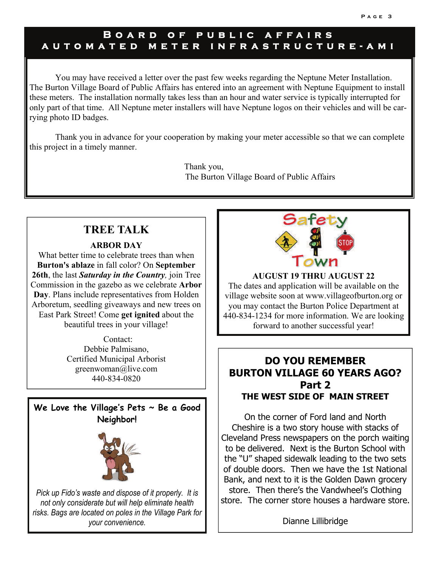## **Board of public affairs automated meter in frastructure-ami**

You may have received a letter over the past few weeks regarding the Neptune Meter Installation. The Burton Village Board of Public Affairs has entered into an agreement with Neptune Equipment to install these meters. The installation normally takes less than an hour and water service is typically interrupted for only part of that time. All Neptune meter installers will have Neptune logos on their vehicles and will be carrying photo ID badges.

Thank you in advance for your cooperation by making your meter accessible so that we can complete this project in a timely manner.

> Thank you, The Burton Village Board of Public Affairs

# **TREE TALK**

**ARBOR DAY** 

What better time to celebrate trees than when **Burton's ablaze** in fall color? On **September 26th**, the last *Saturday in the Country,* join Tree Commission in the gazebo as we celebrate **Arbor Day**. Plans include representatives from Holden Arboretum, seedling giveaways and new trees on East Park Street! Come **get ignited** about the beautiful trees in your village!

> Contact: Debbie Palmisano, Certified Municipal Arborist greenwoman@live.com 440-834-0820



*risks. Bags are located on poles in the Village Park for your convenience.* 



**AUGUST 19 THRU AUGUST 22**  The dates and application will be available on the village website soon at www.villageofburton.org or you may contact the Burton Police Department at 440-834-1234 for more information. We are looking forward to another successful year!

## **DO YOU REMEMBER BURTON VILLAGE 60 YEARS AGO? Part 2 THE WEST SIDE OF MAIN STREET**

On the corner of Ford land and North Cheshire is a two story house with stacks of Cleveland Press newspapers on the porch waiting to be delivered. Next is the Burton School with the "U" shaped sidewalk leading to the two sets of double doors. Then we have the 1st National Bank, and next to it is the Golden Dawn grocery store. Then there's the Vandwheel's Clothing store. The corner store houses a hardware store.

Dianne Lillibridge